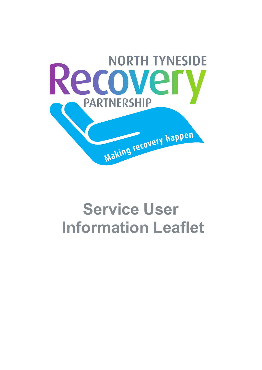

# **Service User Information Leaflet**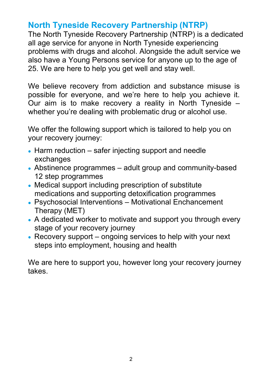# **North Tyneside Recovery Partnership (NTRP)**

The North Tyneside Recovery Partnership (NTRP) is a dedicated all age service for anyone in North Tyneside experiencing problems with drugs and alcohol. Alongside the adult service we also have a Young Persons service for anyone up to the age of 25. We are here to help you get well and stay well.

We believe recovery from addiction and substance misuse is possible for everyone, and we're here to help you achieve it. Our aim is to make recovery a reality in North Tyneside – whether you're dealing with problematic drug or alcohol use.

We offer the following support which is tailored to help you on your recovery journey:

- Harm reduction safer injecting support and needle exchanges
- Abstinence programmes adult group and community-based 12 step programmes
- Medical support including prescription of substitute medications and supporting detoxification programmes
- Psychosocial Interventions Motivational Enchancement Therapy (MET)
- A dedicated worker to motivate and support you through every stage of your recovery journey
- Recovery support ongoing services to help with your next steps into employment, housing and health

We are here to support you, however long your recovery journey takes.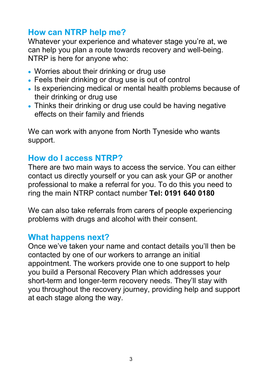# **How can NTRP help me?**

Whatever your experience and whatever stage you're at, we can help you plan a route towards recovery and well-being. NTRP is here for anyone who:

- Worries about their drinking or drug use
- Feels their drinking or drug use is out of control
- Is experiencing medical or mental health problems because of their drinking or drug use
- Thinks their drinking or drug use could be having negative effects on their family and friends

We can work with anyone from North Tyneside who wants support.

# **How do I access NTRP?**

There are two main ways to access the service. You can either contact us directly yourself or you can ask your GP or another professional to make a referral for you. To do this you need to ring the main NTRP contact number **Tel: 0191 640 0180**

We can also take referrals from carers of people experiencing problems with drugs and alcohol with their consent.

# **What happens next?**

Once we've taken your name and contact details you'll then be contacted by one of our workers to arrange an initial appointment. The workers provide one to one support to help you build a Personal Recovery Plan which addresses your short-term and longer-term recovery needs. They'll stay with you throughout the recovery journey, providing help and support at each stage along the way.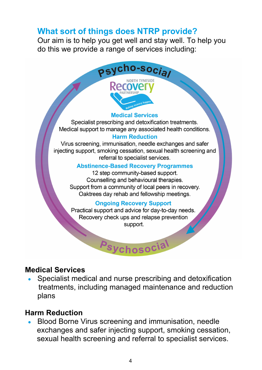## **What sort of things does NTRP provide?**

Our aim is to help you get well and stay well. To help you do this we provide a range of services including:



#### **Medical Services**

Specialist prescribing and detoxification treatments. Medical support to manage any associated health conditions.

#### **Harm Reduction**

Virus screening, immunisation, needle exchanges and safer injecting support, smoking cessation, sexual health screening and referral to specialist services.

#### **Abstinence-Based Recovery Programmes**

12 step community-based support. Counselling and behavioural therapies. Support from a community of local peers in recovery. Oaktrees day rehab and fellowship meetings.

#### **Ongoing Recovery Support**

Practical support and advice for day-to-day needs. Recovery check ups and relapse prevention support.

Psychosocia

#### **Medical Services**

 Specialist medical and nurse prescribing and detoxification treatments, including managed maintenance and reduction plans

#### **Harm Reduction**

 Blood Borne Virus screening and immunisation, needle exchanges and safer injecting support, smoking cessation, sexual health screening and referral to specialist services.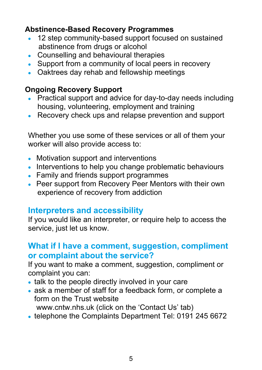## **Abstinence-Based Recovery Programmes**

- 12 step community-based support focused on sustained abstinence from drugs or alcohol
- Counselling and behavioural therapies
- Support from a community of local peers in recovery
- Oaktrees day rehab and fellowship meetings

## **Ongoing Recovery Support**

- Practical support and advice for day-to-day needs including housing, volunteering, employment and training
- Recovery check ups and relapse prevention and support

Whether you use some of these services or all of them your worker will also provide access to:

- Motivation support and interventions
- Interventions to help you change problematic behaviours
- Family and friends support programmes
- Peer support from Recovery Peer Mentors with their own experience of recovery from addiction

# **Interpreters and accessibility**

If you would like an interpreter, or require help to access the service, just let us know.

## **What if I have a comment, suggestion, compliment or complaint about the service?**

If you want to make a comment, suggestion, compliment or complaint you can:

- talk to the people directly involved in your care
- ask a member of staff for a feedback form, or complete a form on the Trust website

www.cntw.nhs.uk (click on the 'Contact Us' tab)

• telephone the Complaints Department Tel: 0191 245 6672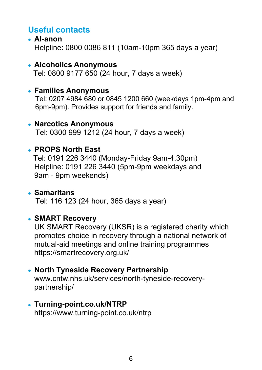# **Useful contacts**

 **Al-anon**  Helpline: 0800 0086 811 (10am-10pm 365 days a year)

#### **Alcoholics Anonymous**

Tel: 0800 9177 650 (24 hour, 7 days a week)

#### **Families Anonymous**

Tel: 0207 4984 680 or 0845 1200 660 (weekdays 1pm-4pm and 6pm-9pm). Provides support for friends and family.

#### **Narcotics Anonymous**  Tel: 0300 999 1212 (24 hour, 7 days a week)

#### **PROPS North East**

 Tel: 0191 226 3440 (Monday-Friday 9am-4.30pm) Helpline: 0191 226 3440 (5pm-9pm weekdays and 9am - 9pm weekends)

#### **Samaritans**  Tel: 116 123 (24 hour, 365 days a year)

## **SMART Recovery**

UK SMART Recovery (UKSR) is a registered charity which promotes choice in recovery through a national network of mutual-aid meetings and online training programmes https://smartrecovery.org.uk/

#### **North Tyneside Recovery Partnership**

www.cntw.nhs.uk/services/north-tyneside-recoverypartnership/

# **Turning-point.co.uk/NTRP**

https://www.turning-point.co.uk/ntrp